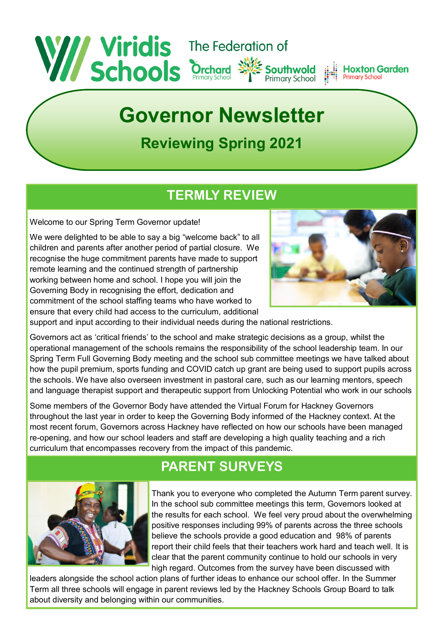

# **Governor Newsletter**

## **Reviewing Spring 2021**

#### **TERMLY REVIEW**

Welcome to our Spring Term Governor update!

We were delighted to be able to say a big "welcome back" to all children and parents after another period of partial closure. We recognise the huge commitment parents have made to support remote learning and the continued strength of partnership working between home and school. I hope you will join the Governing Body in recognising the effort, dedication and commitment of the school staffing teams who have worked to ensure that every child had access to the curriculum, additional



support and input according to their individual needs during the national restrictions.

Governors act as 'critical friends' to the school and make strategic decisions as a group, whilst the operational management of the schools remains the responsibility of the school leadership team. In our Spring Term Full Governing Body meeting and the school sub committee meetings we have talked about how the pupil premium, sports funding and COVID catch up grant are being used to support pupils across the schools. We have also overseen investment in pastoral care, such as our learning mentors, speech and language therapist support and therapeutic support from Unlocking Potential who work in our schools

Some members of the Governor Body have attended the Virtual Forum for Hackney Governors throughout the last year in order to keep the Governing Body informed of the Hackney context. At the most recent forum, Governors across Hackney have reflected on how our schools have been managed re-opening, and how our school leaders and staff are developing a high quality teaching and a rich curriculum that encompasses recovery from the impact of this pandemic.

#### **PARENT SURVEYS**



Thank you to everyone who completed the Autumn Term parent survey. In the school sub committee meetings this term, Governors looked at the results for each school. We feel very proud about the overwhelming positive responses including 99% of parents across the three schools believe the schools provide a good education and 98% of parents report their child feels that their teachers work hard and teach well. It is clear that the parent community continue to hold our schools in very high regard. Outcomes from the survey have been discussed with

leaders alongside the school action plans of further ideas to enhance our school offer. In the Summer Term all three schools will engage in parent reviews led by the Hackney Schools Group Board to talk about diversity and belonging within our communities.